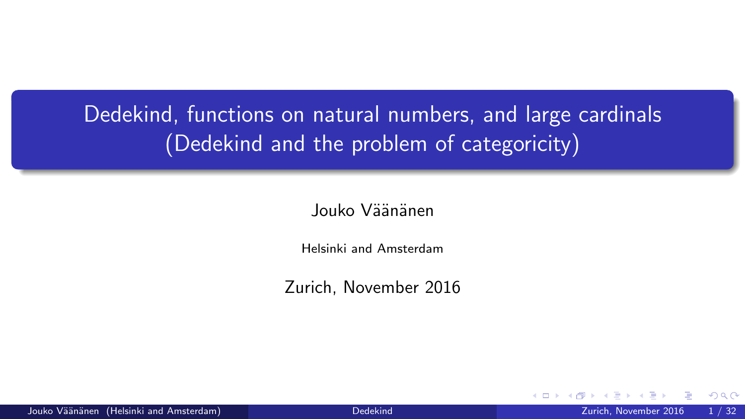### <span id="page-0-0"></span>Dedekind, functions on natural numbers, and large cardinals (Dedekind and the problem of categoricity)

Jouko Väänänen

Helsinki and Amsterdam

Zurich, November 2016

つへへ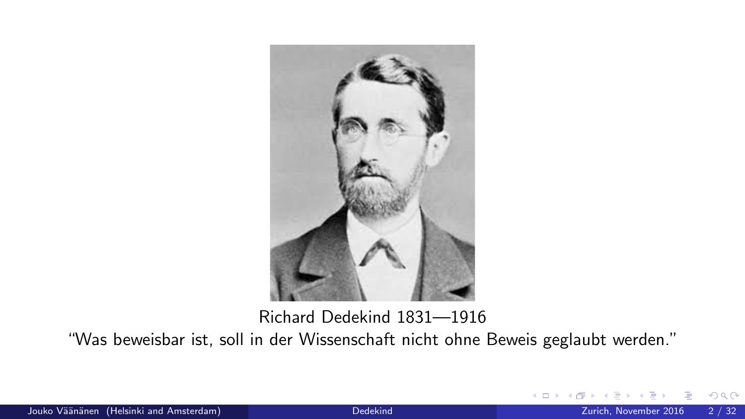

#### Richard Dedekind 1831—1916

"Was beweisbar ist, soll in der Wissenschaft nicht ohne Beweis geglaubt werden."

⊆

 $299$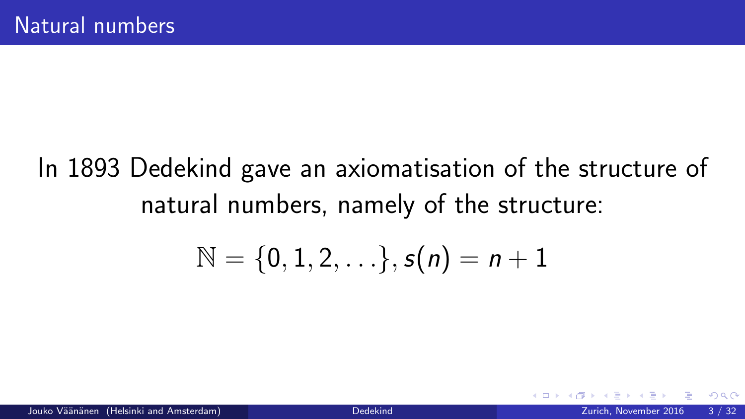# In 1893 Dedekind gave an axiomatisation of the structure of natural numbers, namely of the structure:

$$
\mathbb{N} = \{0, 1, 2, \ldots\}, s(n) = n + 1
$$

つへへ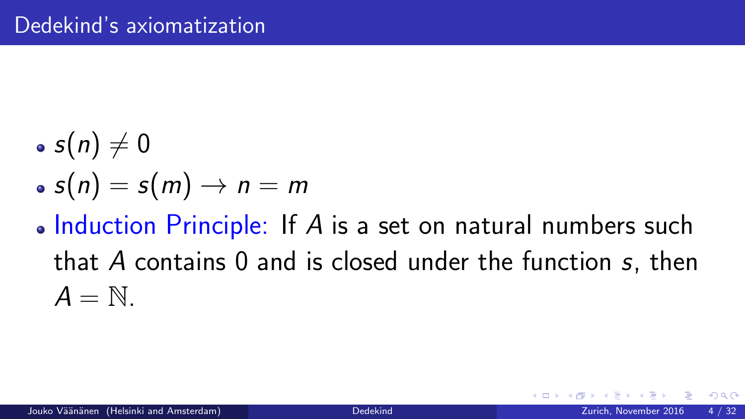- $s(n) \neq 0$
- $s(n) = s(m) \rightarrow n = m$
- $\bullet$  Induction Principle: If A is a set on natural numbers such that A contains 0 and is closed under the function s, then  $A = \mathbb{N}$

 $\Omega$   $\Omega$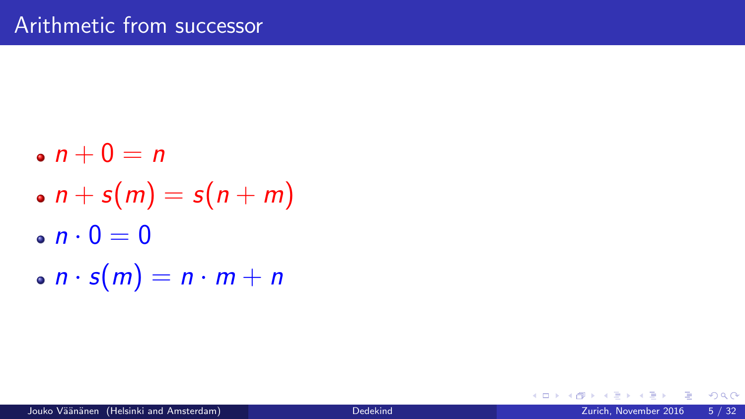$n + 0 = n$ •  $n + s(m) = s(n + m)$  $\bullet$  n  $\cdot$  0 = 0 •  $n \cdot s(m) = n \cdot m + n$ 

э

4 D F

 $298$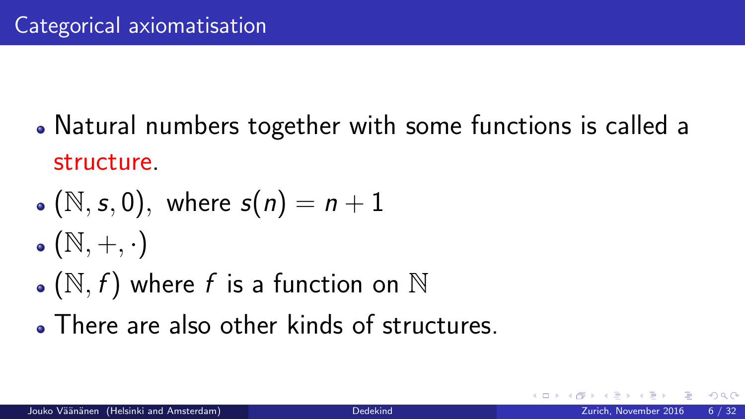Natural numbers together with some functions is called a structure.

$$
\bullet\;(\mathbb{N},s,0),\;\text{where}\;s(n)=n+1
$$

- $\bullet$   $(\mathbb{N}, +, \cdot)$
- $\bullet$  (N, f) where f is a function on N
- There are also other kinds of structures

 $\alpha$   $\alpha$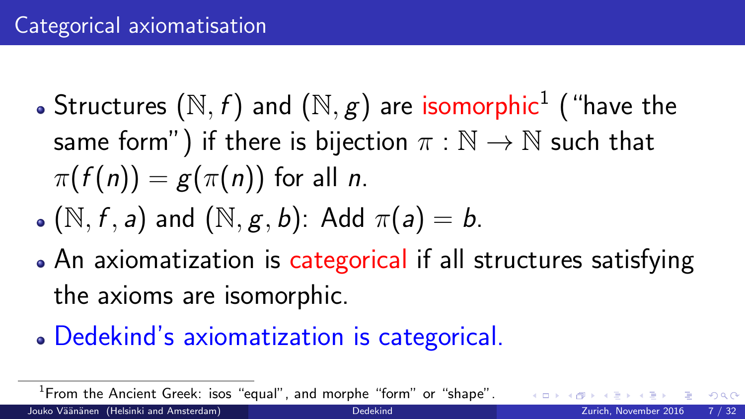- Structures  $(\mathbb{N},f)$  and  $(\mathbb{N},g)$  are isomorphic $^1$  ("have the same form") if there is bijection  $\pi : \mathbb{N} \to \mathbb{N}$  such that  $\pi(f(n)) = g(\pi(n))$  for all n.
- $\bullet$  (N, f, a) and (N, g, b): Add  $\pi(a) = b$ .
- An axiomatization is categorical if all structures satisfying the axioms are isomorphic.
- Dedekind's axiomatization is categorical.

 $1$ From the Ancient Greek: isos "equal", and morphe "form" or "shape".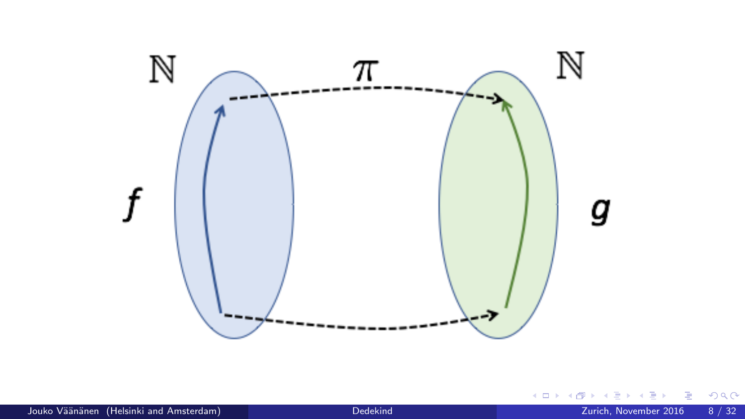

K ロ > K 御 > K 君 > K 君 > 「君」 の Q Q <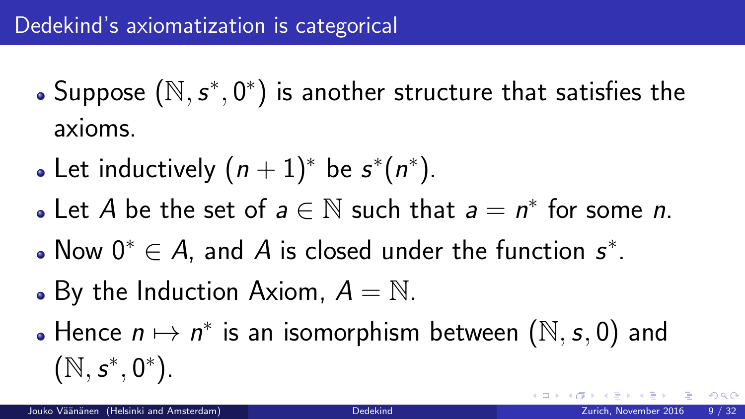- Suppose  $(\mathbb{N},s^*,0^*)$  is another structure that satisfies the axioms.
- Let inductively  $(n + 1)^*$  be  $s^*(n^*)$ .
- Let A be the set of  $a \in \mathbb{N}$  such that  $a = n^*$  for some n.
- Now  $0^* \in A$ , and A is closed under the function  $s^*$ .
- By the Induction Axiom,  $A = N$ .
- Hence  $n \mapsto n^*$  is an isomorphism between  $(\mathbb{N}, s, 0)$  and  $(\mathbb{N}, s^*, 0^*).$

つへへ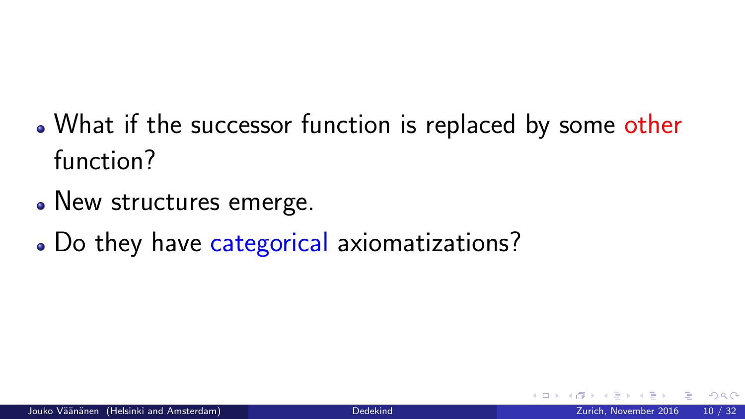- What if the successor function is replaced by some other function?
- New structures emerge.
- Do they have categorical axiomatizations?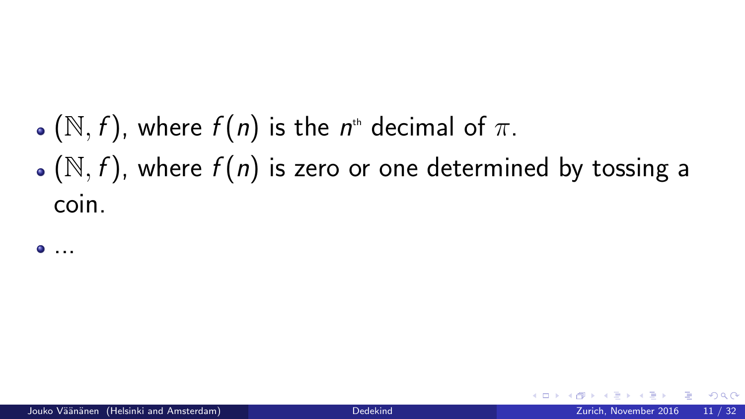$(N, f)$ , where  $f(n)$  is the  $n^{\text{th}}$  decimal of  $\pi$ .  $\bullet$  (N, f), where  $f(n)$  is zero or one determined by tossing a coin.

...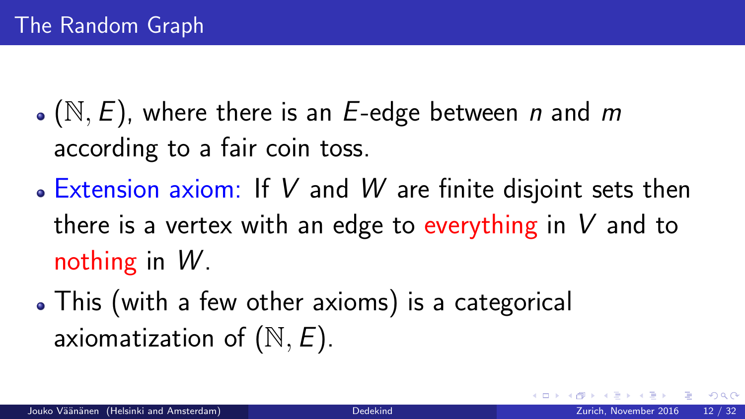- $\bullet$  (N, E), where there is an E-edge between *n* and *m* according to a fair coin toss.
- $\bullet$  Extension axiom: If V and W are finite disjoint sets then there is a vertex with an edge to everything in  $V$  and to nothing in  $W$ .
- This (with a few other axioms) is a categorical axiomatization of  $(N, E)$ .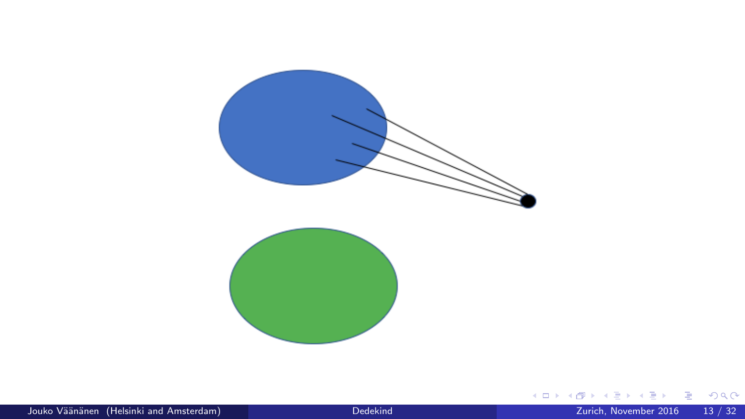

(ロ) (個) (差) (差) (差) のQC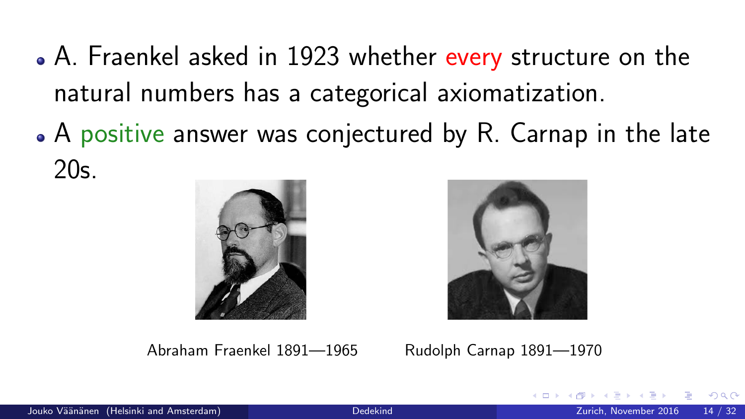- A. Fraenkel asked in 1923 whether every structure on the natural numbers has a categorical axiomatization.
- A positive answer was conjectured by R. Carnap in the late  $20s$



Abraham Fraenkel 1891—1965 Rudolph Carnap 1891—1970

 $Q \cap$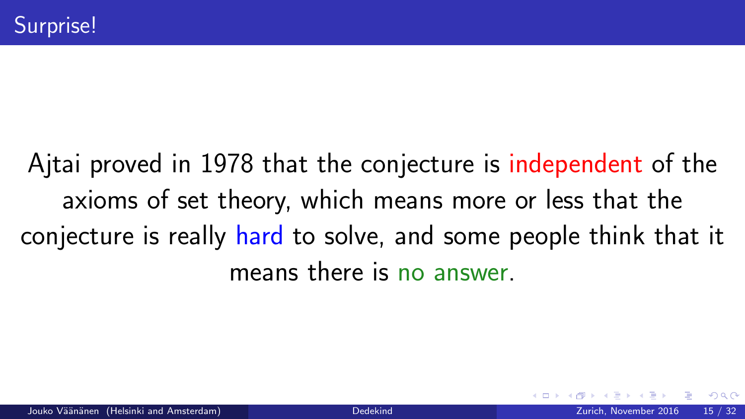# Ajtai proved in 1978 that the conjecture is independent of the axioms of set theory, which means more or less that the conjecture is really hard to solve, and some people think that it means there is no answer.

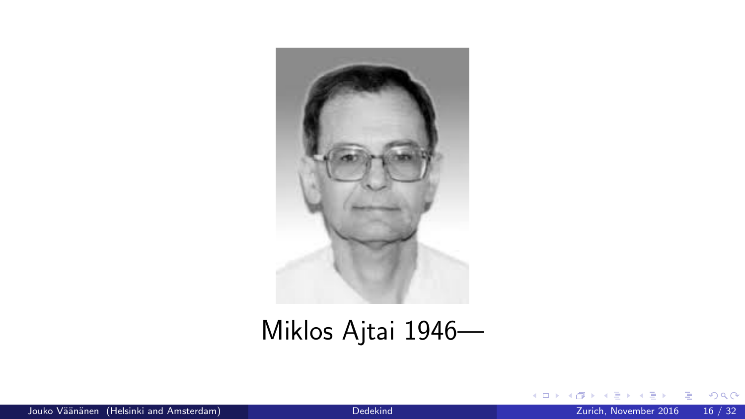

## Miklos Ajtai 1946—

メロトメ 倒下 メミトメミ

 $299$ 

活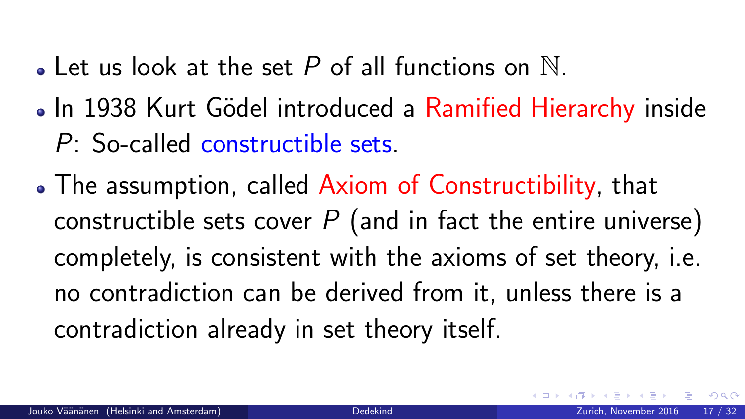- **A** Let us look at the set P of all functions on  $\mathbb N$ .
- In 1938 Kurt Gödel introduced a Ramified Hierarchy inside P: So-called constructible sets.
- The assumption, called Axiom of Constructibility, that constructible sets cover  $P$  (and in fact the entire universe) completely, is consistent with the axioms of set theory, i.e. no contradiction can be derived from it, unless there is a contradiction already in set theory itself.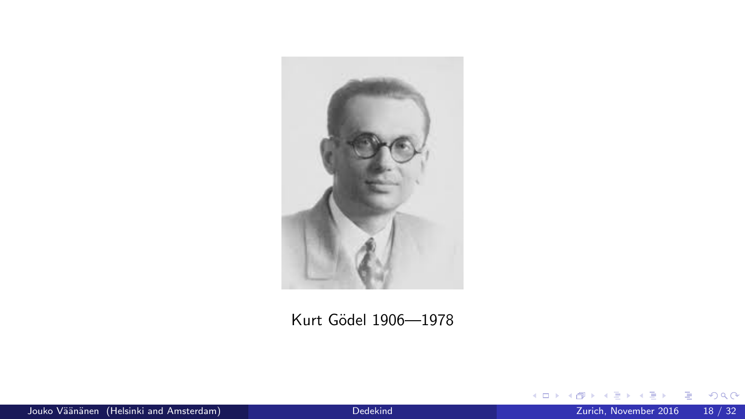

#### Kurt Gödel 1906-1978

(ロ) (個) (差) (差) (差) のQC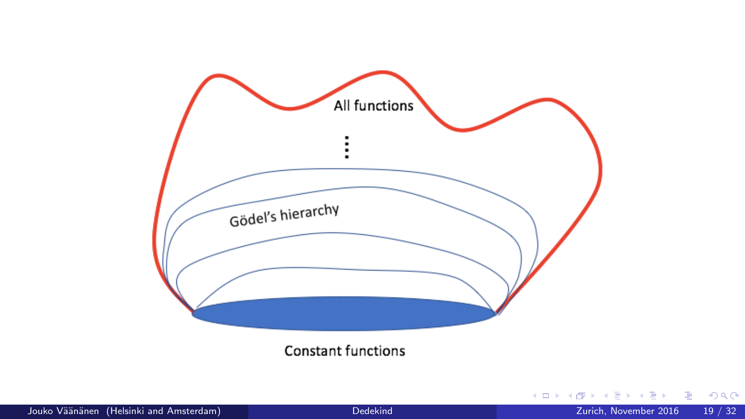

**Constant functions** 

**K ロ ▶ K 個 ▶ K 星 ▶ K 星 ▶ │ 星 │ 約 9,0 º**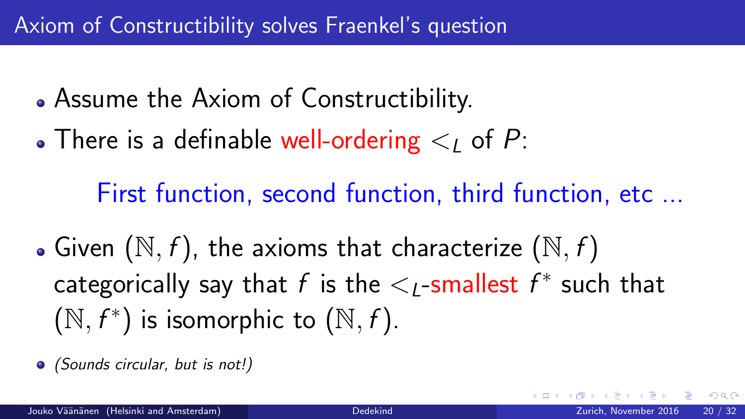- Assume the Axiom of Constructibility.
- There is a definable well-ordering  $\lt$ , of P:

First function, second function, third function, etc ...

- Given  $(N, f)$ , the axioms that characterize  $(N, f)$ categorically say that  $f$  is the  $<_L$ -smallest  $f^\ast$  such that  $(N, f^*)$  is isomorphic to  $(N, f)$ .
- (Sounds circular, but is not!)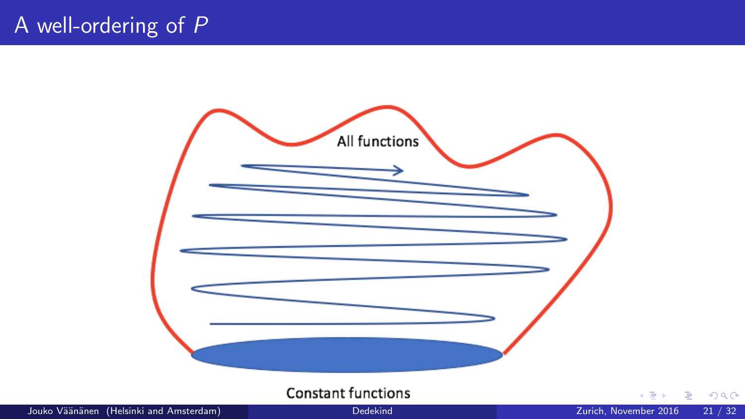

#### **Constant functions**

重

 $299$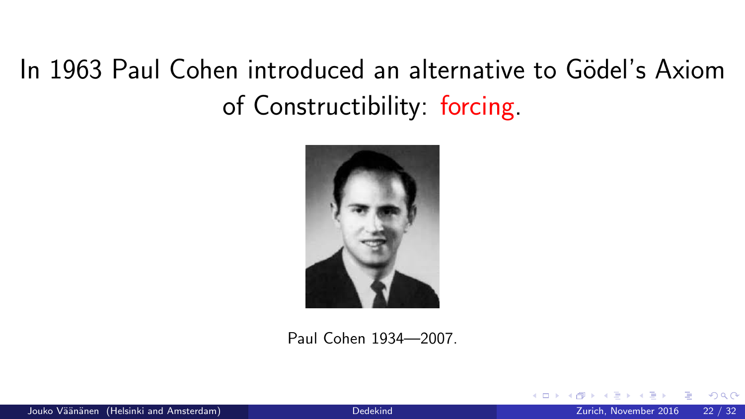## In 1963 Paul Cohen introduced an alternative to Gödel's Axiom of Constructibility: forcing.



Paul Cohen 1934—2007.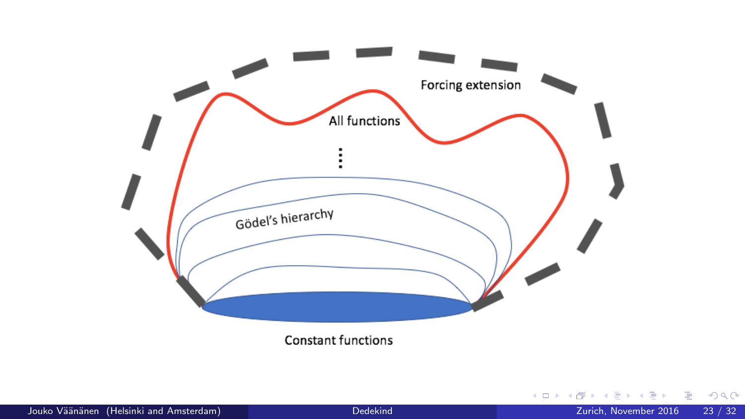

メロメ メ母メ メミメ メミメー

 $\mathcal{O}$ 

重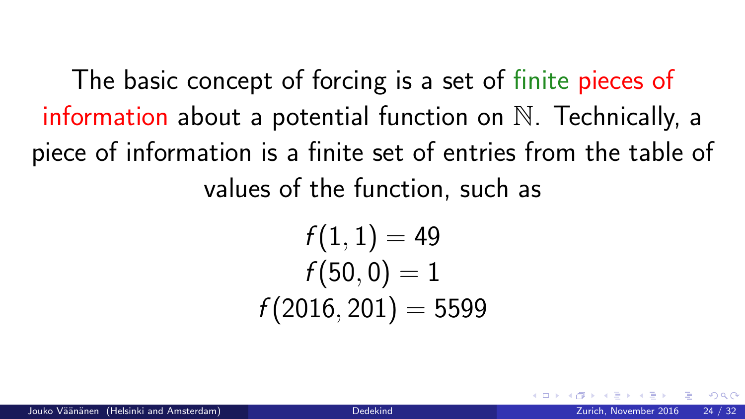The basic concept of forcing is a set of finite pieces of information about a potential function on N. Technically, a piece of information is a finite set of entries from the table of values of the function, such as

$$
f(1,1)=49\\f(50,0)=1\\f(2016,201)=5599
$$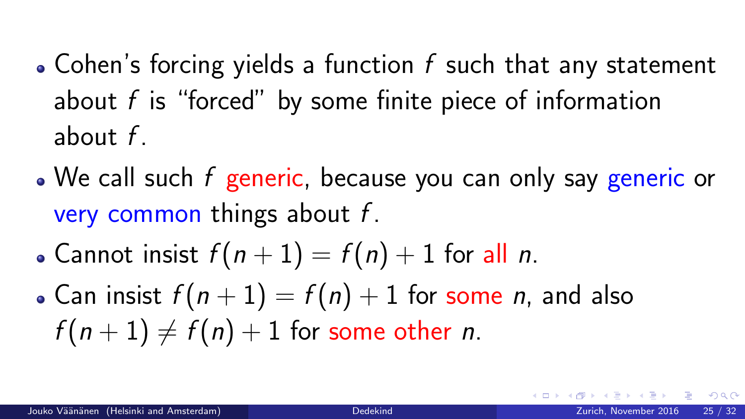- Cohen's forcing yields a function  $f$  such that any statement about  $f$  is "forced" by some finite piece of information about  $f$
- $\bullet$  We call such f generic, because you can only say generic or very common things about  $f$ .
- Cannot insist  $f(n+1) = f(n) + 1$  for all n.
- Can insist  $f(n+1) = f(n) + 1$  for some *n*, and also  $f(n+1) \neq f(n) + 1$  for some other *n*.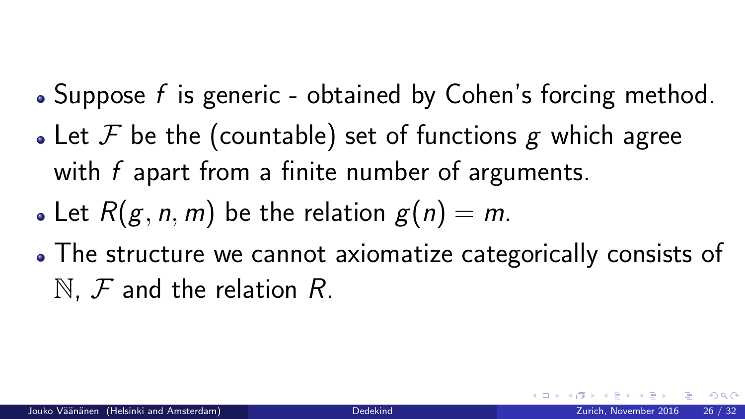- Suppose f is generic obtained by Cohen's forcing method.
- Let  $\mathcal F$  be the (countable) set of functions g which agree with f apart from a finite number of arguments.
- Let  $R(g, n, m)$  be the relation  $g(n) = m$ .
- The structure we cannot axiomatize categorically consists of  $N.$   $F$  and the relation  $R.$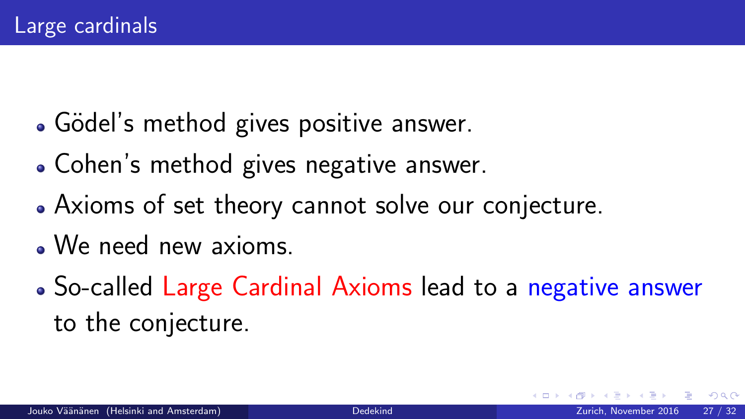- Gödel's method gives positive answer.
- Cohen's method gives negative answer.
- Axioms of set theory cannot solve our conjecture.
- We need new axioms.
- So-called Large Cardinal Axioms lead to a negative answer to the conjecture.

 $\Omega$   $\Omega$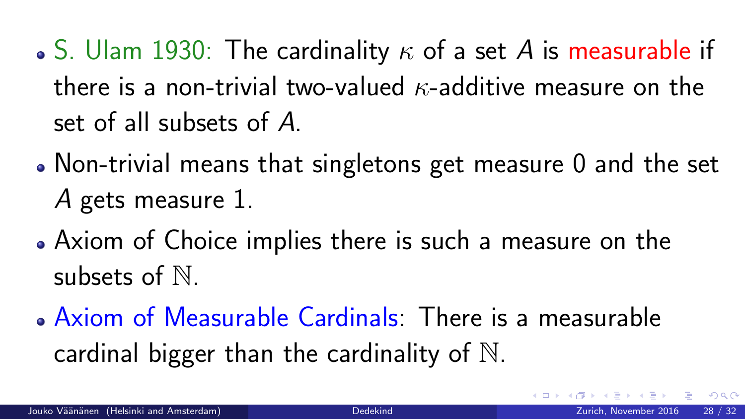- S. Ulam 1930: The cardinality  $\kappa$  of a set A is measurable if there is a non-trivial two-valued  $\kappa$ -additive measure on the set of all subsets of  $A$ .
- Non-trivial means that singletons get measure 0 and the set A gets measure 1.
- Axiom of Choice implies there is such a measure on the subsets of  $\mathbb N$ .
- Axiom of Measurable Cardinals: There is a measurable cardinal bigger than the cardinality of  $\mathbb N$ .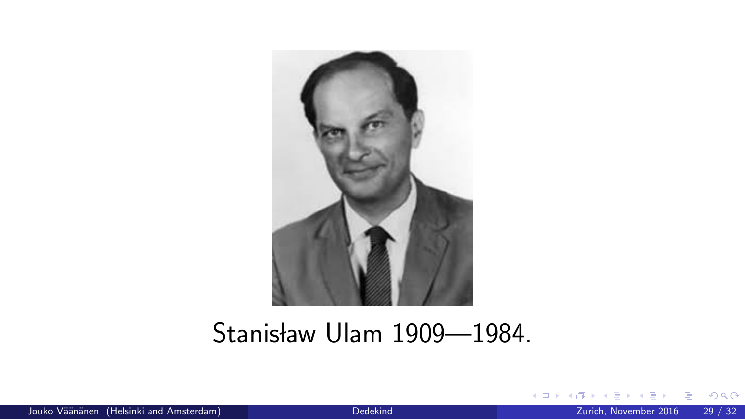

### Stanisław Ulam 1909-1984.

おす 高め す悪

**K ロ ▶ K 伊** 

 $299$ 

活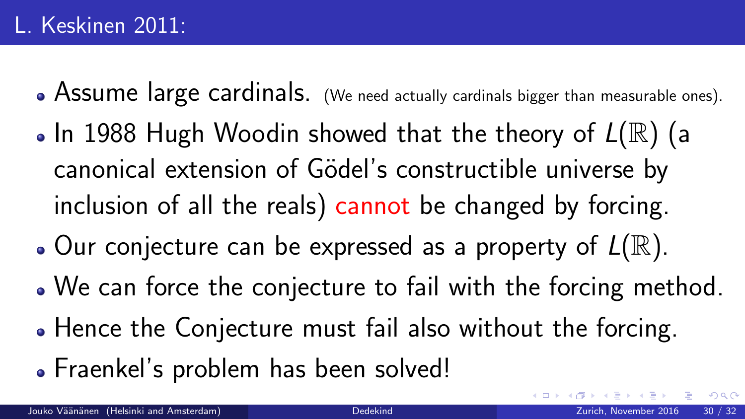- Assume large cardinals. (We need actually cardinals bigger than measurable ones).
- In 1988 Hugh Woodin showed that the theory of  $L(\mathbb{R})$  (a canonical extension of Gödel's constructible universe by inclusion of all the reals) cannot be changed by forcing.
- Our conjecture can be expressed as a property of  $L(\mathbb{R})$ .
- We can force the conjecture to fail with the forcing method.
- Hence the Conjecture must fail also without the forcing.
- Fraenkel's problem has been solved!

 $2040$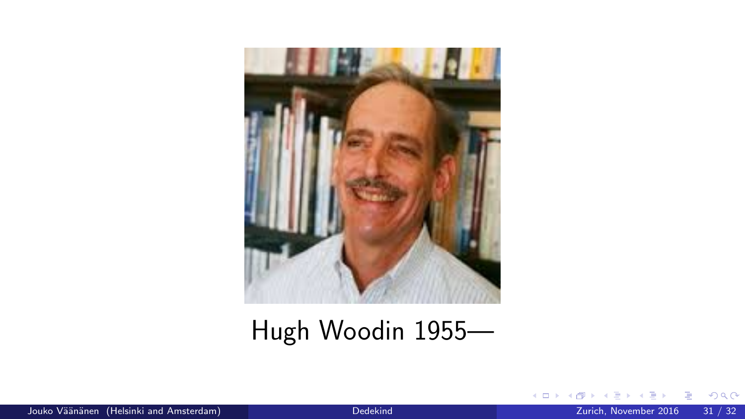

## Hugh Woodin 1955—

メロト メ都 トメ ヨ トメ ヨ ト

 $299$ 

活